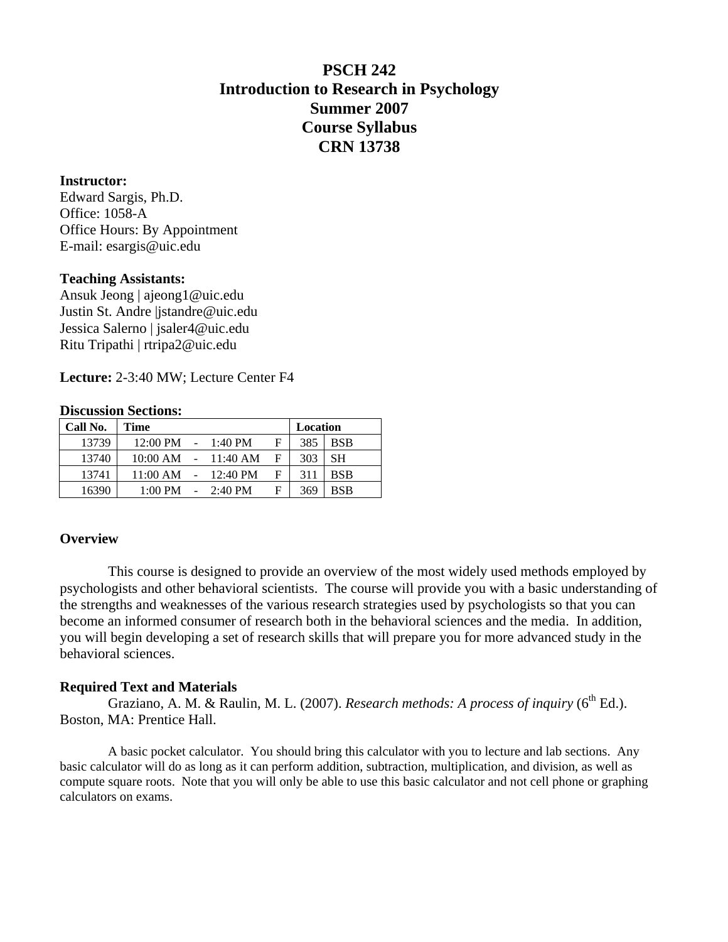# **PSCH 242 Introduction to Research in Psychology Summer 2007 Course Syllabus CRN 13738**

# **Instructor:**

Edward Sargis, Ph.D. Office: 1058-A Office Hours: By Appointment E-mail: [esargis@uic.edu](mailto:esargis@uic.edu) 

# **Teaching Assistants:**

Ansuk Jeong | ajeong1@uic.edu Justin St. Andre |jstandre@uic.edu Jessica Salerno | jsaler4@uic.edu Ritu Tripathi | rtripa2@uic.edu

**Lecture:** 2-3:40 MW; Lecture Center F4

# **Discussion Sections:**

| Call No. | <b>Time</b>                  |  |                             | Location |     |            |
|----------|------------------------------|--|-----------------------------|----------|-----|------------|
| 13739    | $12:00 \text{ PM}$ - 1:40 PM |  |                             | F        | 385 | <b>BSB</b> |
| 13740    |                              |  | $10:00$ AM $-11:40$ AM      | F        | 303 | <b>SH</b>  |
| 13741    | $11:00$ AM $-12:40$ PM       |  |                             | F        | 311 | <b>BSB</b> |
| 16390    |                              |  | $1:00 \text{ PM}$ - 2:40 PM | F        | 369 | <b>BSB</b> |

# **Overview**

This course is designed to provide an overview of the most widely used methods employed by psychologists and other behavioral scientists. The course will provide you with a basic understanding of the strengths and weaknesses of the various research strategies used by psychologists so that you can become an informed consumer of research both in the behavioral sciences and the media. In addition, you will begin developing a set of research skills that will prepare you for more advanced study in the behavioral sciences.

# **Required Text and Materials**

Graziano, A. M. & Raulin, M. L. (2007). *Research methods: A process of inquiry* (6<sup>th</sup> Ed.). Boston, MA: Prentice Hall.

 A basic pocket calculator. You should bring this calculator with you to lecture and lab sections. Any basic calculator will do as long as it can perform addition, subtraction, multiplication, and division, as well as compute square roots. Note that you will only be able to use this basic calculator and not cell phone or graphing calculators on exams.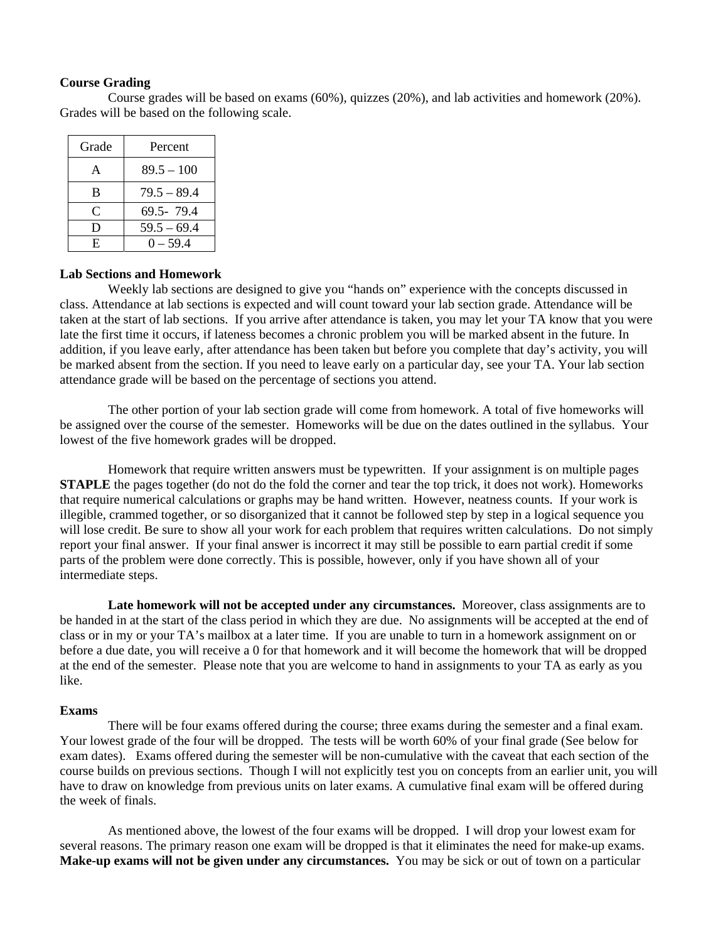#### **Course Grading**

Course grades will be based on exams (60%), quizzes (20%), and lab activities and homework (20%). Grades will be based on the following scale.

| Grade | Percent       |
|-------|---------------|
| A     | $89.5 - 100$  |
| B     | $79.5 - 89.4$ |
| C     | 69.5-79.4     |
| Ð     | $59.5 - 69.4$ |
| F.    | $0 - 59.4$    |

#### **Lab Sections and Homework**

 Weekly lab sections are designed to give you "hands on" experience with the concepts discussed in class. Attendance at lab sections is expected and will count toward your lab section grade. Attendance will be taken at the start of lab sections. If you arrive after attendance is taken, you may let your TA know that you were late the first time it occurs, if lateness becomes a chronic problem you will be marked absent in the future. In addition, if you leave early, after attendance has been taken but before you complete that day's activity, you will be marked absent from the section. If you need to leave early on a particular day, see your TA. Your lab section attendance grade will be based on the percentage of sections you attend.

The other portion of your lab section grade will come from homework. A total of five homeworks will be assigned over the course of the semester. Homeworks will be due on the dates outlined in the syllabus. Your lowest of the five homework grades will be dropped.

 Homework that require written answers must be typewritten. If your assignment is on multiple pages **STAPLE** the pages together (do not do the fold the corner and tear the top trick, it does not work). Homeworks that require numerical calculations or graphs may be hand written. However, neatness counts. If your work is illegible, crammed together, or so disorganized that it cannot be followed step by step in a logical sequence you will lose credit. Be sure to show all your work for each problem that requires written calculations. Do not simply report your final answer. If your final answer is incorrect it may still be possible to earn partial credit if some parts of the problem were done correctly. This is possible, however, only if you have shown all of your intermediate steps.

**Late homework will not be accepted under any circumstances.** Moreover, class assignments are to be handed in at the start of the class period in which they are due. No assignments will be accepted at the end of class or in my or your TA's mailbox at a later time. If you are unable to turn in a homework assignment on or before a due date, you will receive a 0 for that homework and it will become the homework that will be dropped at the end of the semester. Please note that you are welcome to hand in assignments to your TA as early as you like.

#### **Exams**

 There will be four exams offered during the course; three exams during the semester and a final exam. Your lowest grade of the four will be dropped. The tests will be worth 60% of your final grade (See below for exam dates). Exams offered during the semester will be non-cumulative with the caveat that each section of the course builds on previous sections. Though I will not explicitly test you on concepts from an earlier unit, you will have to draw on knowledge from previous units on later exams. A cumulative final exam will be offered during the week of finals.

 As mentioned above, the lowest of the four exams will be dropped. I will drop your lowest exam for several reasons. The primary reason one exam will be dropped is that it eliminates the need for make-up exams. **Make-up exams will not be given under any circumstances.** You may be sick or out of town on a particular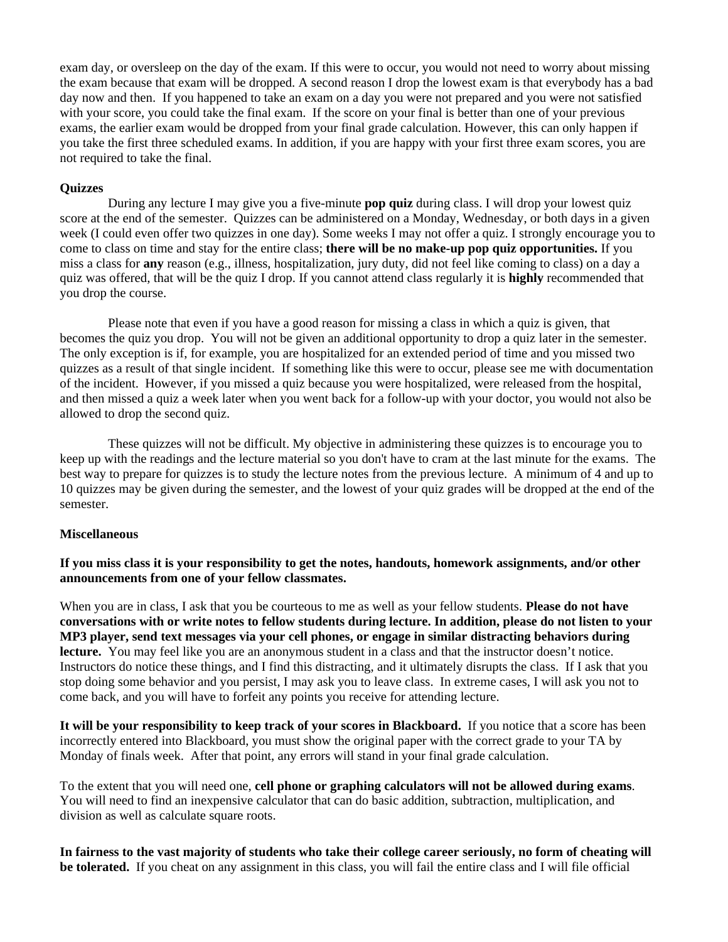exam day, or oversleep on the day of the exam. If this were to occur, you would not need to worry about missing the exam because that exam will be dropped. A second reason I drop the lowest exam is that everybody has a bad day now and then. If you happened to take an exam on a day you were not prepared and you were not satisfied with your score, you could take the final exam. If the score on your final is better than one of your previous exams, the earlier exam would be dropped from your final grade calculation. However, this can only happen if you take the first three scheduled exams. In addition, if you are happy with your first three exam scores, you are not required to take the final.

### **Quizzes**

 During any lecture I may give you a five-minute **pop quiz** during class. I will drop your lowest quiz score at the end of the semester. Quizzes can be administered on a Monday, Wednesday, or both days in a given week (I could even offer two quizzes in one day). Some weeks I may not offer a quiz. I strongly encourage you to come to class on time and stay for the entire class; **there will be no make-up pop quiz opportunities.** If you miss a class for **any** reason (e.g., illness, hospitalization, jury duty, did not feel like coming to class) on a day a quiz was offered, that will be the quiz I drop. If you cannot attend class regularly it is **highly** recommended that you drop the course.

 Please note that even if you have a good reason for missing a class in which a quiz is given, that becomes the quiz you drop. You will not be given an additional opportunity to drop a quiz later in the semester. The only exception is if, for example, you are hospitalized for an extended period of time and you missed two quizzes as a result of that single incident. If something like this were to occur, please see me with documentation of the incident. However, if you missed a quiz because you were hospitalized, were released from the hospital, and then missed a quiz a week later when you went back for a follow-up with your doctor, you would not also be allowed to drop the second quiz.

These quizzes will not be difficult. My objective in administering these quizzes is to encourage you to keep up with the readings and the lecture material so you don't have to cram at the last minute for the exams. The best way to prepare for quizzes is to study the lecture notes from the previous lecture. A minimum of 4 and up to 10 quizzes may be given during the semester, and the lowest of your quiz grades will be dropped at the end of the semester.

#### **Miscellaneous**

**If you miss class it is your responsibility to get the notes, handouts, homework assignments, and/or other announcements from one of your fellow classmates.** 

When you are in class, I ask that you be courteous to me as well as your fellow students. **Please do not have conversations with or write notes to fellow students during lecture. In addition, please do not listen to your MP3 player, send text messages via your cell phones, or engage in similar distracting behaviors during lecture.** You may feel like you are an anonymous student in a class and that the instructor doesn't notice. Instructors do notice these things, and I find this distracting, and it ultimately disrupts the class. If I ask that you stop doing some behavior and you persist, I may ask you to leave class. In extreme cases, I will ask you not to come back, and you will have to forfeit any points you receive for attending lecture.

**It will be your responsibility to keep track of your scores in Blackboard.** If you notice that a score has been incorrectly entered into Blackboard, you must show the original paper with the correct grade to your TA by Monday of finals week. After that point, any errors will stand in your final grade calculation.

To the extent that you will need one, **cell phone or graphing calculators will not be allowed during exams**. You will need to find an inexpensive calculator that can do basic addition, subtraction, multiplication, and division as well as calculate square roots.

**In fairness to the vast majority of students who take their college career seriously, no form of cheating will be tolerated.** If you cheat on any assignment in this class, you will fail the entire class and I will file official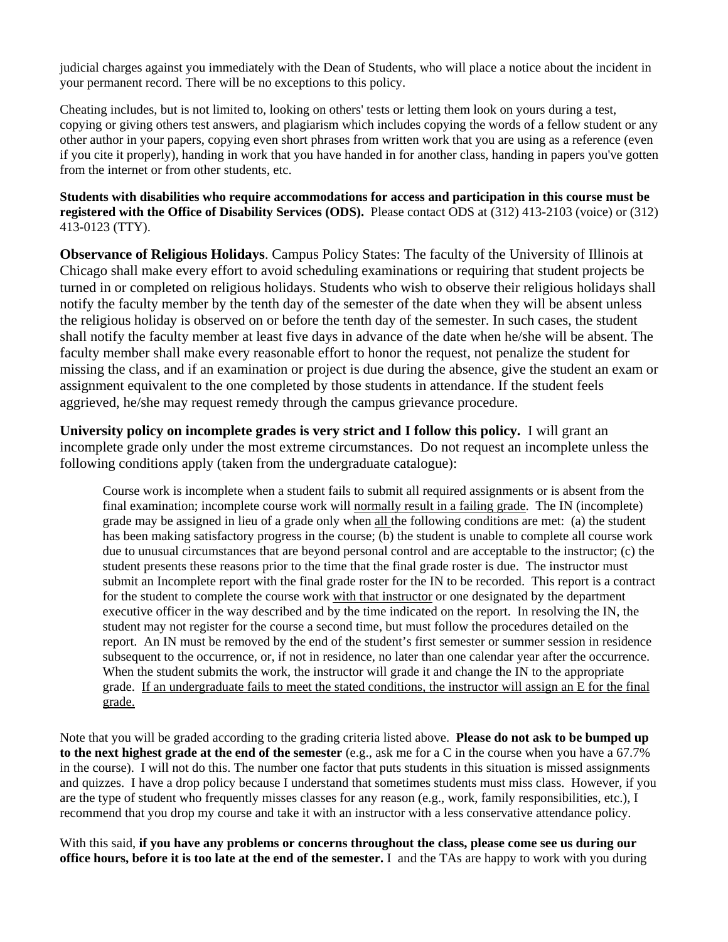judicial charges against you immediately with the Dean of Students, who will place a notice about the incident in your permanent record. There will be no exceptions to this policy.

Cheating includes, but is not limited to, looking on others' tests or letting them look on yours during a test, copying or giving others test answers, and plagiarism which includes copying the words of a fellow student or any other author in your papers, copying even short phrases from written work that you are using as a reference (even if you cite it properly), handing in work that you have handed in for another class, handing in papers you've gotten from the internet or from other students, etc.

# **Students with disabilities who require accommodations for access and participation in this course must be registered with the Office of Disability Services (ODS).** Please contact ODS at (312) 413-2103 (voice) or (312) 413-0123 (TTY).

**Observance of Religious Holidays**. Campus Policy States: The faculty of the University of Illinois at Chicago shall make every effort to avoid scheduling examinations or requiring that student projects be turned in or completed on religious holidays. Students who wish to observe their religious holidays shall notify the faculty member by the tenth day of the semester of the date when they will be absent unless the religious holiday is observed on or before the tenth day of the semester. In such cases, the student shall notify the faculty member at least five days in advance of the date when he/she will be absent. The faculty member shall make every reasonable effort to honor the request, not penalize the student for missing the class, and if an examination or project is due during the absence, give the student an exam or assignment equivalent to the one completed by those students in attendance. If the student feels aggrieved, he/she may request remedy through the campus grievance procedure.

**University policy on incomplete grades is very strict and I follow this policy.** I will grant an incomplete grade only under the most extreme circumstances. Do not request an incomplete unless the following conditions apply (taken from the undergraduate catalogue):

Course work is incomplete when a student fails to submit all required assignments or is absent from the final examination; incomplete course work will normally result in a failing grade. The IN (incomplete) grade may be assigned in lieu of a grade only when all the following conditions are met: (a) the student has been making satisfactory progress in the course; (b) the student is unable to complete all course work due to unusual circumstances that are beyond personal control and are acceptable to the instructor; (c) the student presents these reasons prior to the time that the final grade roster is due. The instructor must submit an Incomplete report with the final grade roster for the IN to be recorded. This report is a contract for the student to complete the course work with that instructor or one designated by the department executive officer in the way described and by the time indicated on the report. In resolving the IN, the student may not register for the course a second time, but must follow the procedures detailed on the report. An IN must be removed by the end of the student's first semester or summer session in residence subsequent to the occurrence, or, if not in residence, no later than one calendar year after the occurrence. When the student submits the work, the instructor will grade it and change the IN to the appropriate grade. If an undergraduate fails to meet the stated conditions, the instructor will assign an E for the final grade.

Note that you will be graded according to the grading criteria listed above. **Please do not ask to be bumped up to the next highest grade at the end of the semester** (e.g., ask me for a C in the course when you have a 67.7% in the course). I will not do this. The number one factor that puts students in this situation is missed assignments and quizzes. I have a drop policy because I understand that sometimes students must miss class. However, if you are the type of student who frequently misses classes for any reason (e.g., work, family responsibilities, etc.), I recommend that you drop my course and take it with an instructor with a less conservative attendance policy.

With this said, **if you have any problems or concerns throughout the class, please come see us during our office hours, before it is too late at the end of the semester.** I and the TAs are happy to work with you during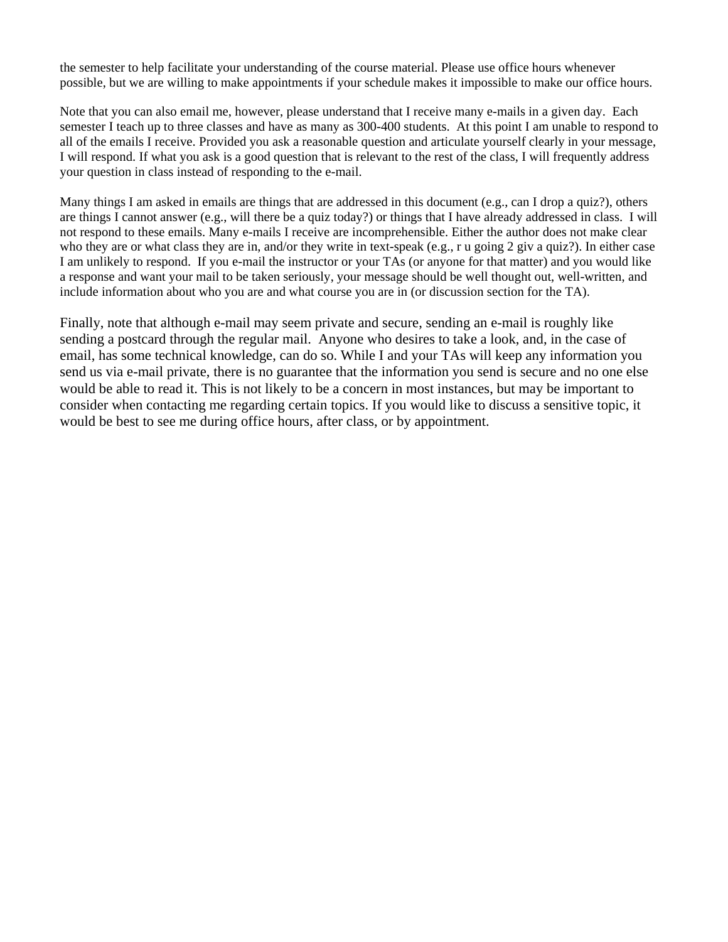the semester to help facilitate your understanding of the course material. Please use office hours whenever possible, but we are willing to make appointments if your schedule makes it impossible to make our office hours.

Note that you can also email me, however, please understand that I receive many e-mails in a given day. Each semester I teach up to three classes and have as many as 300-400 students. At this point I am unable to respond to all of the emails I receive. Provided you ask a reasonable question and articulate yourself clearly in your message, I will respond. If what you ask is a good question that is relevant to the rest of the class, I will frequently address your question in class instead of responding to the e-mail.

Many things I am asked in emails are things that are addressed in this document (e.g., can I drop a quiz?), others are things I cannot answer (e.g., will there be a quiz today?) or things that I have already addressed in class. I will not respond to these emails. Many e-mails I receive are incomprehensible. Either the author does not make clear who they are or what class they are in, and/or they write in text-speak (e.g., r u going 2 giv a quiz?). In either case I am unlikely to respond. If you e-mail the instructor or your TAs (or anyone for that matter) and you would like a response and want your mail to be taken seriously, your message should be well thought out, well-written, and include information about who you are and what course you are in (or discussion section for the TA).

Finally, note that although e-mail may seem private and secure, sending an e-mail is roughly like sending a postcard through the regular mail. Anyone who desires to take a look, and, in the case of email, has some technical knowledge, can do so. While I and your TAs will keep any information you send us via e-mail private, there is no guarantee that the information you send is secure and no one else would be able to read it. This is not likely to be a concern in most instances, but may be important to consider when contacting me regarding certain topics. If you would like to discuss a sensitive topic, it would be best to see me during office hours, after class, or by appointment.